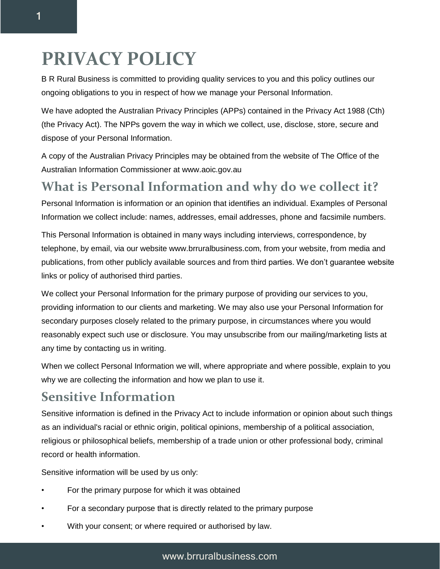# **PRIVACY POLICY**

B R Rural Business is committed to providing quality services to you and this policy outlines our ongoing obligations to you in respect of how we manage your Personal Information.

We have adopted the Australian Privacy Principles (APPs) contained in the Privacy Act 1988 (Cth) (the Privacy Act). The NPPs govern the way in which we collect, use, disclose, store, secure and dispose of your Personal Information.

A copy of the Australian Privacy Principles may be obtained from the website of The Office of the Australian Information Commissioner at www.aoic.gov.au

#### **What is Personal Information and why do we collect it?**

Personal Information is information or an opinion that identifies an individual. Examples of Personal Information we collect include: names, addresses, email addresses, phone and facsimile numbers.

This Personal Information is obtained in many ways including interviews, correspondence, by telephone, by email, via our website www.brruralbusiness.com, from your website, from media and publications, from other publicly available sources and from third parties. We don't guarantee website links or policy of authorised third parties.

We collect your Personal Information for the primary purpose of providing our services to you, providing information to our clients and marketing. We may also use your Personal Information for secondary purposes closely related to the primary purpose, in circumstances where you would reasonably expect such use or disclosure. You may unsubscribe from our mailing/marketing lists at any time by contacting us in writing.

When we collect Personal Information we will, where appropriate and where possible, explain to you why we are collecting the information and how we plan to use it.

#### **Sensitive Information**

Sensitive information is defined in the Privacy Act to include information or opinion about such things as an individual's racial or ethnic origin, political opinions, membership of a political association, religious or philosophical beliefs, membership of a trade union or other professional body, criminal record or health information.

Sensitive information will be used by us only:

- For the primary purpose for which it was obtained
- For a secondary purpose that is directly related to the primary purpose
- With your consent; or where required or authorised by law.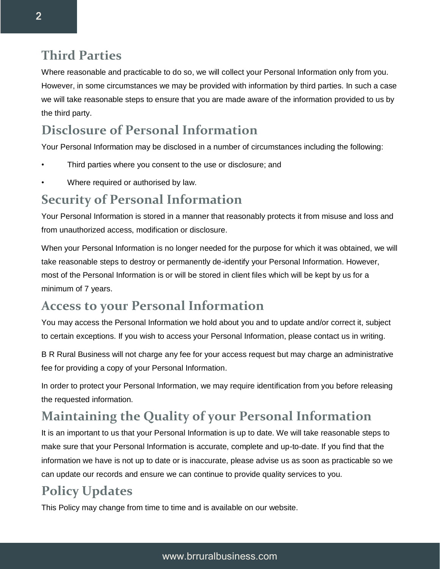#### **Third Parties**

Where reasonable and practicable to do so, we will collect your Personal Information only from you. However, in some circumstances we may be provided with information by third parties. In such a case we will take reasonable steps to ensure that you are made aware of the information provided to us by the third party.

## **Disclosure of Personal Information**

Your Personal Information may be disclosed in a number of circumstances including the following:

- Third parties where you consent to the use or disclosure; and
- Where required or authorised by law.

### **Security of Personal Information**

Your Personal Information is stored in a manner that reasonably protects it from misuse and loss and from unauthorized access, modification or disclosure.

When your Personal Information is no longer needed for the purpose for which it was obtained, we will take reasonable steps to destroy or permanently de-identify your Personal Information. However, most of the Personal Information is or will be stored in client files which will be kept by us for a minimum of 7 years.

#### **Access to your Personal Information**

You may access the Personal Information we hold about you and to update and/or correct it, subject to certain exceptions. If you wish to access your Personal Information, please contact us in writing.

B R Rural Business will not charge any fee for your access request but may charge an administrative fee for providing a copy of your Personal Information.

In order to protect your Personal Information, we may require identification from you before releasing the requested information.

# **Maintaining the Quality of your Personal Information**

It is an important to us that your Personal Information is up to date. We will take reasonable steps to make sure that your Personal Information is accurate, complete and up-to-date. If you find that the information we have is not up to date or is inaccurate, please advise us as soon as practicable so we can update our records and ensure we can continue to provide quality services to you.

## **Policy Updates**

This Policy may change from time to time and is available on our website.